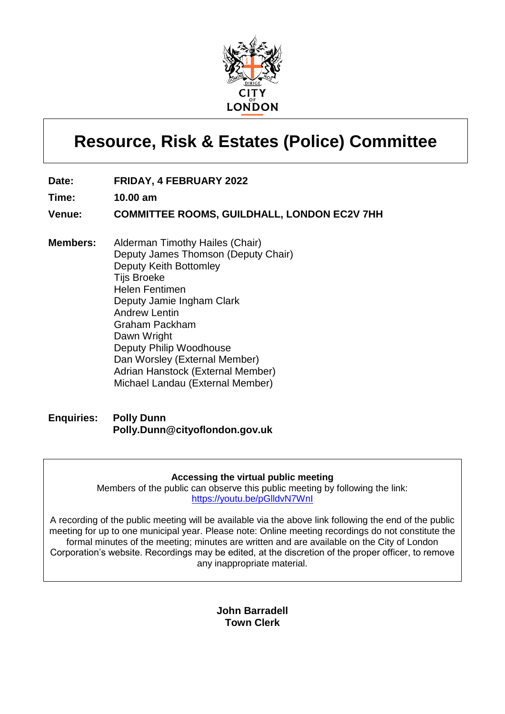

# **Resource, Risk & Estates (Police) Committee**

- **Date: FRIDAY, 4 FEBRUARY 2022**
- **Time: 10.00 am**
- **Venue: COMMITTEE ROOMS, GUILDHALL, LONDON EC2V 7HH**
- **Members:** Alderman Timothy Hailes (Chair) Deputy James Thomson (Deputy Chair) Deputy Keith Bottomley Tijs Broeke Helen Fentimen Deputy Jamie Ingham Clark Andrew Lentin Graham Packham Dawn Wright Deputy Philip Woodhouse Dan Worsley (External Member) Adrian Hanstock (External Member) Michael Landau (External Member)
- **Enquiries: Polly Dunn Polly.Dunn@cityoflondon.gov.uk**

#### **Accessing the virtual public meeting**

Members of the public can observe this public meeting by following the link: <https://youtu.be/pGlldvN7WnI>

A recording of the public meeting will be available via the above link following the end of the public meeting for up to one municipal year. Please note: Online meeting recordings do not constitute the formal minutes of the meeting; minutes are written and are available on the City of London Corporation's website. Recordings may be edited, at the discretion of the proper officer, to remove any inappropriate material.

> **John Barradell Town Clerk**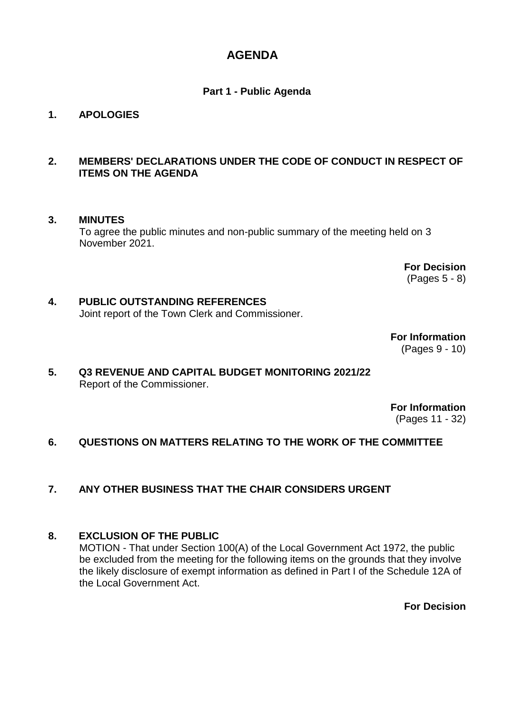# **AGENDA**

# **Part 1 - Public Agenda**

# **1. APOLOGIES**

#### **2. MEMBERS' DECLARATIONS UNDER THE CODE OF CONDUCT IN RESPECT OF ITEMS ON THE AGENDA**

#### **3. MINUTES**

To agree the public minutes and non-public summary of the meeting held on 3 November 2021.

> **For Decision** (Pages 5 - 8)

#### **4. PUBLIC OUTSTANDING REFERENCES** Joint report of the Town Clerk and Commissioner.

**For Information** (Pages 9 - 10)

## **5. Q3 REVENUE AND CAPITAL BUDGET MONITORING 2021/22** Report of the Commissioner.

**For Information** (Pages 11 - 32)

# **6. QUESTIONS ON MATTERS RELATING TO THE WORK OF THE COMMITTEE**

# **7. ANY OTHER BUSINESS THAT THE CHAIR CONSIDERS URGENT**

#### **8. EXCLUSION OF THE PUBLIC**

MOTION - That under Section 100(A) of the Local Government Act 1972, the public be excluded from the meeting for the following items on the grounds that they involve the likely disclosure of exempt information as defined in Part I of the Schedule 12A of the Local Government Act.

**For Decision**